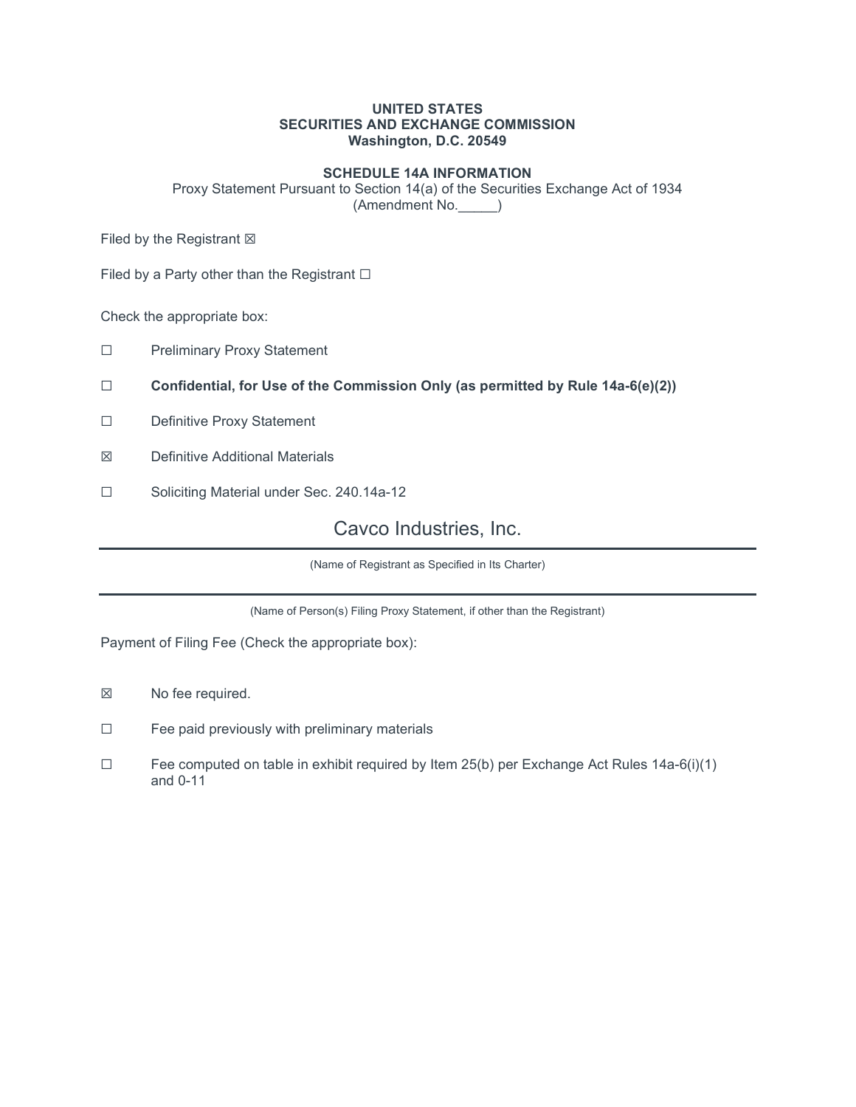### UNITED STATES SECURITIES AND EXCHANGE COMMISSION Washington, D.C. 20549

### SCHEDULE 14A INFORMATION

Proxy Statement Pursuant to Section 14(a) of the Securities Exchange Act of 1934 (Amendment No.\_\_\_\_\_)

Filed by the Registrant  $\boxtimes$ 

Filed by a Party other than the Registrant  $\Box$ 

Check the appropriate box:

- ☐ Preliminary Proxy Statement
- □ Confidential, for Use of the Commission Only (as permitted by Rule  $14a-6(e)(2)$ )
- ☐ Definitive Proxy Statement
- ☒ Definitive Additional Materials
- ☐ Soliciting Material under Sec. 240.14a-12

## Cavco Industries, Inc.

(Name of Registrant as Specified in Its Charter)

(Name of Person(s) Filing Proxy Statement, if other than the Registrant)

Payment of Filing Fee (Check the appropriate box):

- ☒ No fee required.
- ☐ Fee paid previously with preliminary materials
- ☐ Fee computed on table in exhibit required by Item 25(b) per Exchange Act Rules 14a-6(i)(1) and 0-11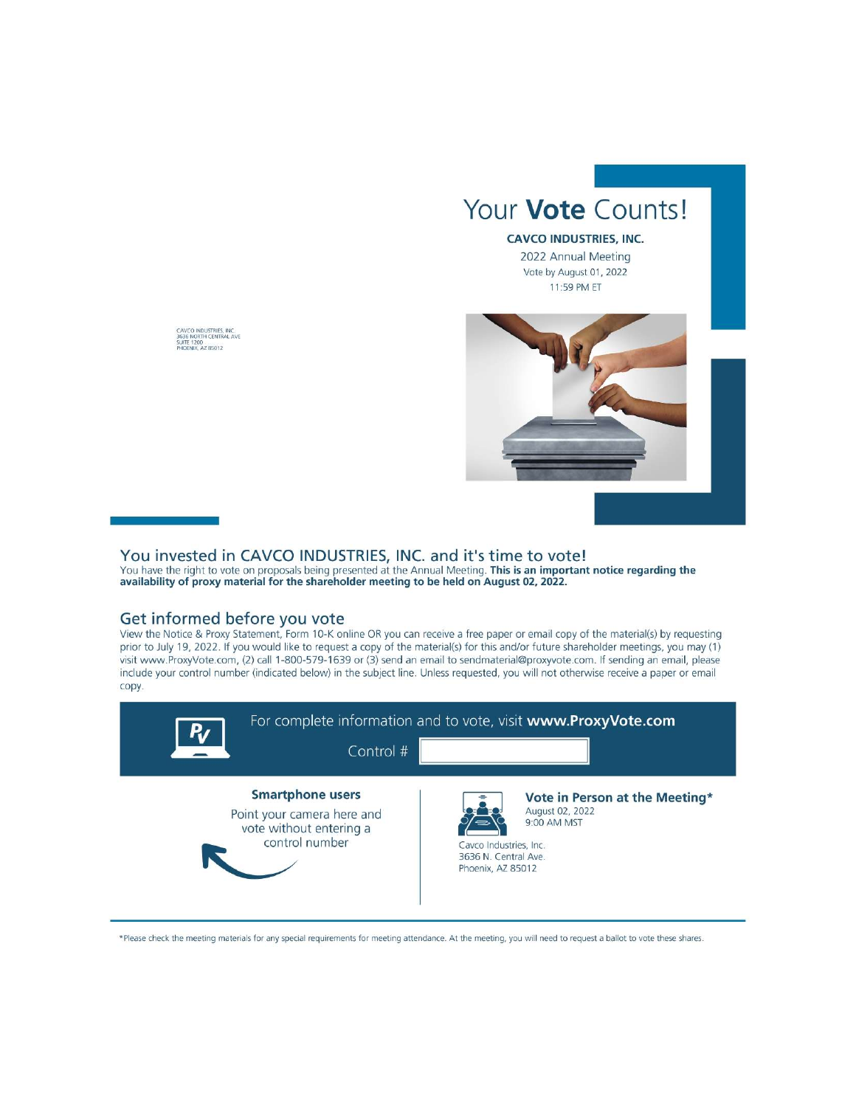

2022 Annual Meeting Vote by August 01, 2022 11:59 PM ET



CAVCO INDUSTRIES, INC.<br>3636 NORTH CENTRAL AVE<br>SUITE 1200<br>PHOENIX, AZ 85012

## You invested in CAVCO INDUSTRIES, INC. and it's time to vote!

You have the right to vote on proposals being presented at the Annual Meeting. This is an important notice regarding the availability of proxy material for the shareholder meeting to be held on August 02, 2022.

#### Get informed before you vote

View the Notice & Proxy Statement, Form 10-K online OR you can receive a free paper or email copy of the material(s) by requesting prior to July 19, 2022. If you would like to request a copy of the material(s) for this and/or future shareholder meetings, you may (1) visit www.ProxyVote.com, (2) call 1-800-579-1639 or (3) send an email to sendmaterial@proxyvote.com. If sending an email, please include your control number (indicated below) in the subject line. Unless requested, you will not otherwise receive a paper or email copy.



\*Please check the meeting materials for any special requirements for meeting attendance. At the meeting, you will need to request a ballot to vote these shares.